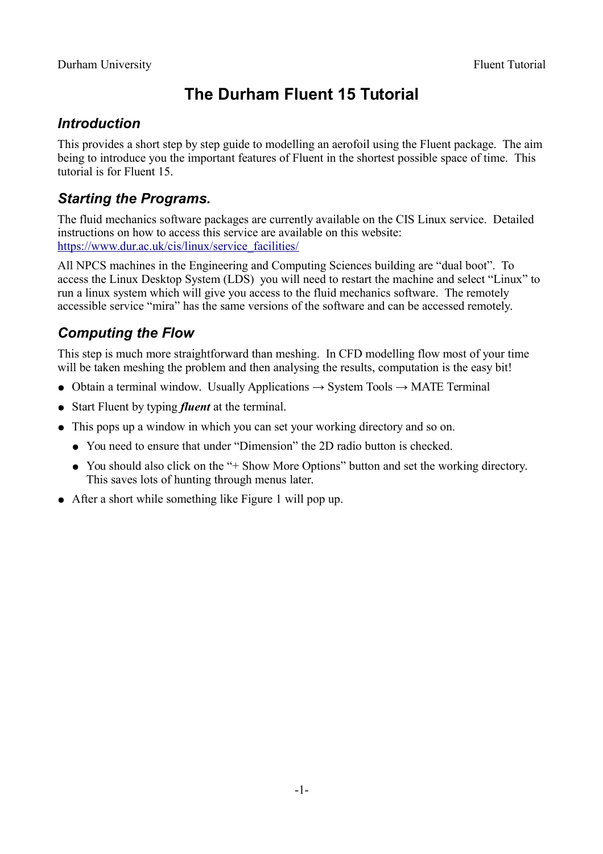# **The Durham Fluent 15 Tutorial**

## *Introduction*

This provides a short step by step guide to modelling an aerofoil using the Fluent package. The aim being to introduce you the important features of Fluent in the shortest possible space of time. This tutorial is for Fluent 15.

## *Starting the Programs.*

The fluid mechanics software packages are currently available on the CIS Linux service. Detailed instructions on how to access this service are available on this website: [https://www.dur.ac.uk/cis/linux/service\\_facilities/](https://www.dur.ac.uk/cis/linux/service_facilities/)

All NPCS machines in the Engineering and Computing Sciences building are "dual boot". To access the Linux Desktop System (LDS) you will need to restart the machine and select "Linux" to run a linux system which will give you access to the fluid mechanics software. The remotely accessible service "mira" has the same versions of the software and can be accessed remotely.

## *Computing the Flow*

This step is much more straightforward than meshing. In CFD modelling flow most of your time will be taken meshing the problem and then analysing the results, computation is the easy bit!

- Obtain a terminal window. Usually Applications  $\rightarrow$  System Tools  $\rightarrow$  MATE Terminal
- Start Fluent by typing *fluent* at the terminal.
- This pops up a window in which you can set your working directory and so on.
	- You need to ensure that under "Dimension" the 2D radio button is checked.
	- You should also click on the "+ Show More Options" button and set the working directory. This saves lots of hunting through menus later.
- After a short while something like [Figure 1](#page-1-0) will pop up.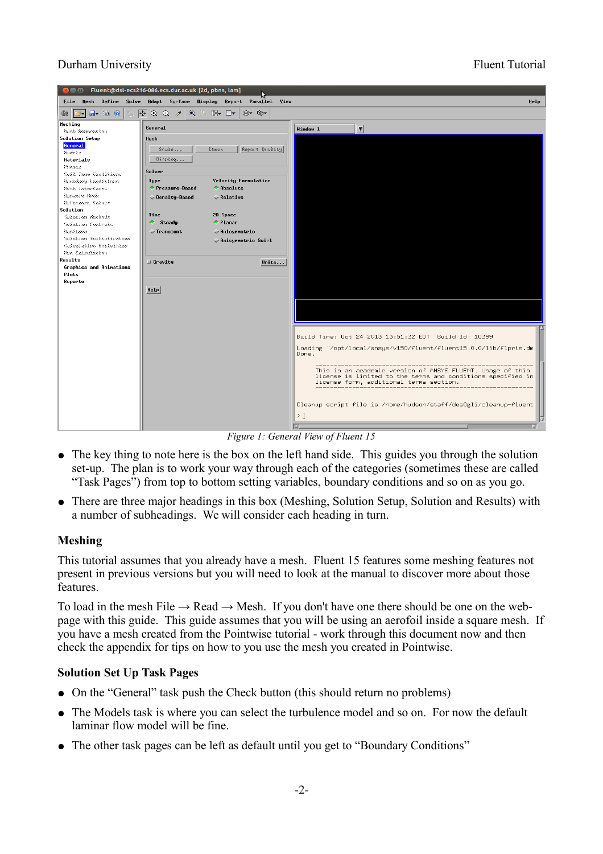#### Durham University Fluent Tutorial



*Figure 1: General View of Fluent 15*

- <span id="page-1-0"></span>• The key thing to note here is the box on the left hand side. This guides you through the solution set-up. The plan is to work your way through each of the categories (sometimes these are called "Task Pages") from top to bottom setting variables, boundary conditions and so on as you go.
- There are three major headings in this box (Meshing, Solution Setup, Solution and Results) with a number of subheadings. We will consider each heading in turn.

#### **Meshing**

This tutorial assumes that you already have a mesh. Fluent 15 features some meshing features not present in previous versions but you will need to look at the manual to discover more about those features.

To load in the mesh File  $\rightarrow$  Read  $\rightarrow$  Mesh. If you don't have one there should be one on the webpage with this guide. This guide assumes that you will be using an aerofoil inside a square mesh. If you have a mesh created from the Pointwise tutorial - work through this document now and then check the appendix for tips on how to you use the mesh you created in Pointwise.

#### **Solution Set Up Task Pages**

- On the "General" task push the Check button (this should return no problems)
- The Models task is where you can select the turbulence model and so on. For now the default laminar flow model will be fine.
- The other task pages can be left as default until you get to "Boundary Conditions"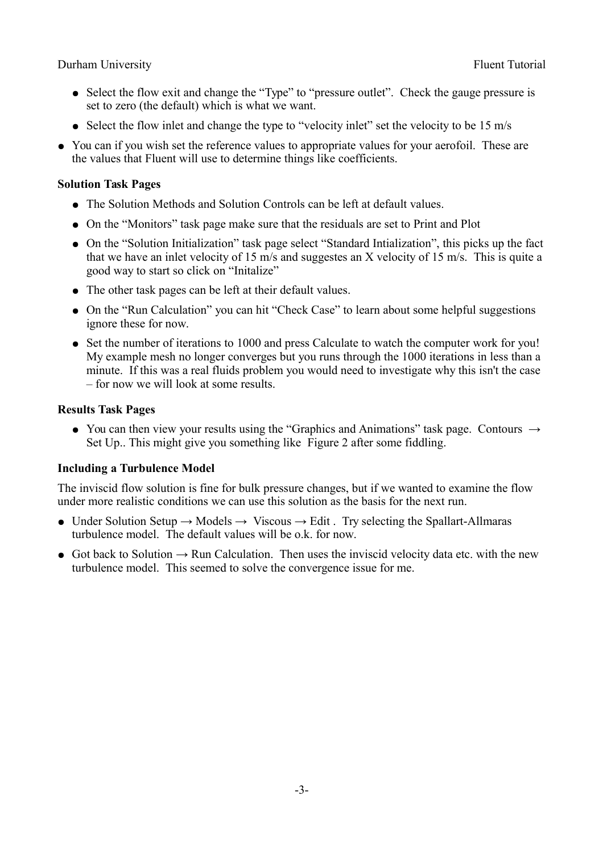#### Durham University Fluent Tutorial

- Select the flow exit and change the "Type" to "pressure outlet". Check the gauge pressure is set to zero (the default) which is what we want.
- Select the flow inlet and change the type to "velocity inlet" set the velocity to be 15 m/s
- You can if you wish set the reference values to appropriate values for your aerofoil. These are the values that Fluent will use to determine things like coefficients.

#### **Solution Task Pages**

- The Solution Methods and Solution Controls can be left at default values.
- On the "Monitors" task page make sure that the residuals are set to Print and Plot
- On the "Solution Initialization" task page select "Standard Intialization", this picks up the fact that we have an inlet velocity of 15 m/s and suggestes an X velocity of 15 m/s. This is quite a good way to start so click on "Initalize"
- The other task pages can be left at their default values.
- On the "Run Calculation" you can hit "Check Case" to learn about some helpful suggestions ignore these for now.
- Set the number of iterations to 1000 and press Calculate to watch the computer work for you! My example mesh no longer converges but you runs through the 1000 iterations in less than a minute. If this was a real fluids problem you would need to investigate why this isn't the case – for now we will look at some results.

#### **Results Task Pages**

• You can then view your results using the "Graphics and Animations" task page. Contours  $\rightarrow$ Set Up.. This might give you something like [Figure 2](#page-3-0) after some fiddling.

### **Including a Turbulence Model**

The inviscid flow solution is fine for bulk pressure changes, but if we wanted to examine the flow under more realistic conditions we can use this solution as the basis for the next run.

- Under Solution Setup  $\rightarrow$  Models  $\rightarrow$  Viscous  $\rightarrow$  Edit . Try selecting the Spallart-Allmaras turbulence model. The default values will be o.k. for now.
- Got back to Solution  $\rightarrow$  Run Calculation. Then uses the inviscid velocity data etc. with the new turbulence model. This seemed to solve the convergence issue for me.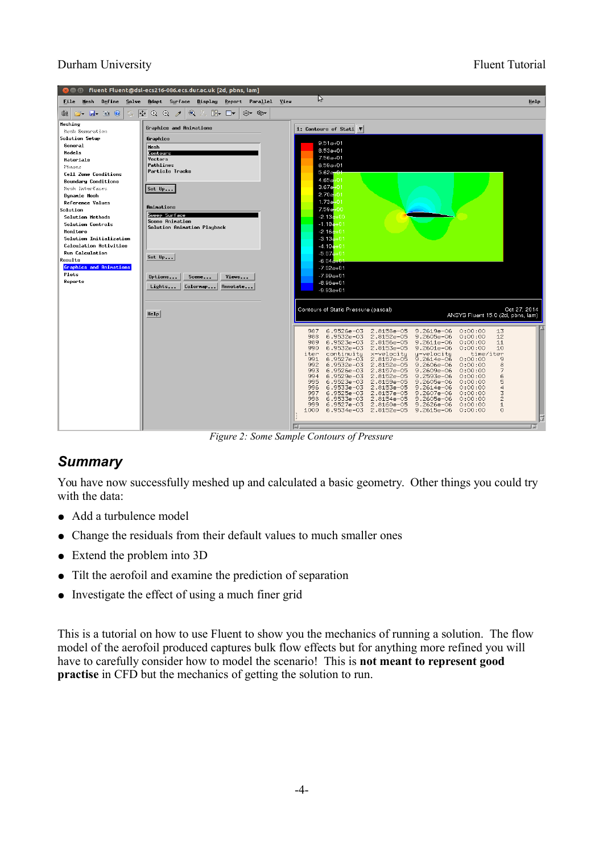### Durham University Fluent Tutorial



<span id="page-3-0"></span>*Figure 2: Some Sample Contours of Pressure*

## *Summary*

You have now successfully meshed up and calculated a basic geometry. Other things you could try with the data:

- Add a turbulence model
- Change the residuals from their default values to much smaller ones
- Extend the problem into 3D
- Tilt the aerofoil and examine the prediction of separation
- Investigate the effect of using a much finer grid

This is a tutorial on how to use Fluent to show you the mechanics of running a solution. The flow model of the aerofoil produced captures bulk flow effects but for anything more refined you will have to carefully consider how to model the scenario! This is **not meant to represent good practise** in CFD but the mechanics of getting the solution to run.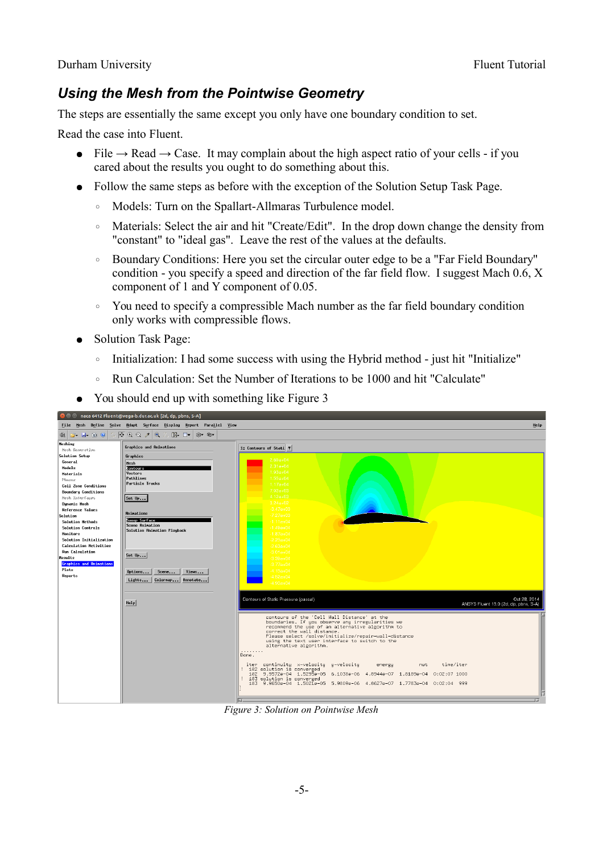## *Using the Mesh from the Pointwise Geometry*

The steps are essentially the same except you only have one boundary condition to set.

Read the case into Fluent.

- File  $\rightarrow$  Read  $\rightarrow$  Case. It may complain about the high aspect ratio of your cells if you cared about the results you ought to do something about this.
- Follow the same steps as before with the exception of the Solution Setup Task Page.
	- Models: Turn on the Spallart-Allmaras Turbulence model.
	- Materials: Select the air and hit "Create/Edit". In the drop down change the density from "constant" to "ideal gas". Leave the rest of the values at the defaults.
	- Boundary Conditions: Here you set the circular outer edge to be a "Far Field Boundary" condition - you specify a speed and direction of the far field flow. I suggest Mach 0.6, X component of 1 and Y component of 0.05.
	- You need to specify a compressible Mach number as the far field boundary condition only works with compressible flows.
- Solution Task Page:
	- Initialization: I had some success with using the Hybrid method just hit "Initialize"
	- Run Calculation: Set the Number of Iterations to be 1000 and hit "Calculate"
- You should end up with something like [Figure 3](#page-4-0)

<span id="page-4-0"></span>

*Figure 3: Solution on Pointwise Mesh*